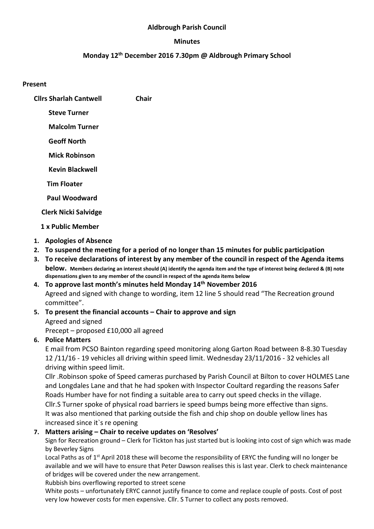#### Aldbrough Parish Council

#### Minutes

#### Monday 12<sup>th</sup> December 2016 7.30pm @ Aldbrough Primary School

#### Present

- Cllrs Sharlah Cantwell Chair
	- Steve Turner
	- Malcolm Turner
	- Geoff North
	- Mick Robinson
	- Kevin Blackwell
	- Tim Floater
	- Paul Woodward
	- Clerk Nicki Salvidge
	- 1 x Public Member
- 1. Apologies of Absence
- 2. To suspend the meeting for a period of no longer than 15 minutes for public participation
- 3. To receive declarations of interest by any member of the council in respect of the Agenda items below. Members declaring an interest should (A) identify the agenda item and the type of interest being declared & (B) note dispensations given to any member of the council in respect of the agenda items below
- 4. To approve last month's minutes held Monday 14<sup>th</sup> November 2016 Agreed and signed with change to wording, item 12 line 5 should read "The Recreation ground committee".
- 5. To present the financial accounts Chair to approve and sign Agreed and signed
	- Precept proposed £10,000 all agreed
- 6. Police Matters

E mail from PCSO Bainton regarding speed monitoring along Garton Road between 8-8.30 Tuesday 12 /11/16 - 19 vehicles all driving within speed limit. Wednesday 23/11/2016 - 32 vehicles all driving within speed limit.

Cllr .Robinson spoke of Speed cameras purchased by Parish Council at Bilton to cover HOLMES Lane and Longdales Lane and that he had spoken with Inspector Coultard regarding the reasons Safer Roads Humber have for not finding a suitable area to carry out speed checks in the village. Cllr.S Turner spoke of physical road barriers ie speed bumps being more effective than signs. It was also mentioned that parking outside the fish and chip shop on double yellow lines has increased since it`s re opening

#### 7. Matters arising – Chair to receive updates on 'Resolves'

Sign for Recreation ground – Clerk for Tickton has just started but is looking into cost of sign which was made by Beverley Signs

Local Paths as of 1<sup>st</sup> April 2018 these will become the responsibility of ERYC the funding will no longer be available and we will have to ensure that Peter Dawson realises this is last year. Clerk to check maintenance of bridges will be covered under the new arrangement.

Rubbish bins overflowing reported to street scene

White posts – unfortunately ERYC cannot justify finance to come and replace couple of posts. Cost of post very low however costs for men expensive. Cllr. S Turner to collect any posts removed.